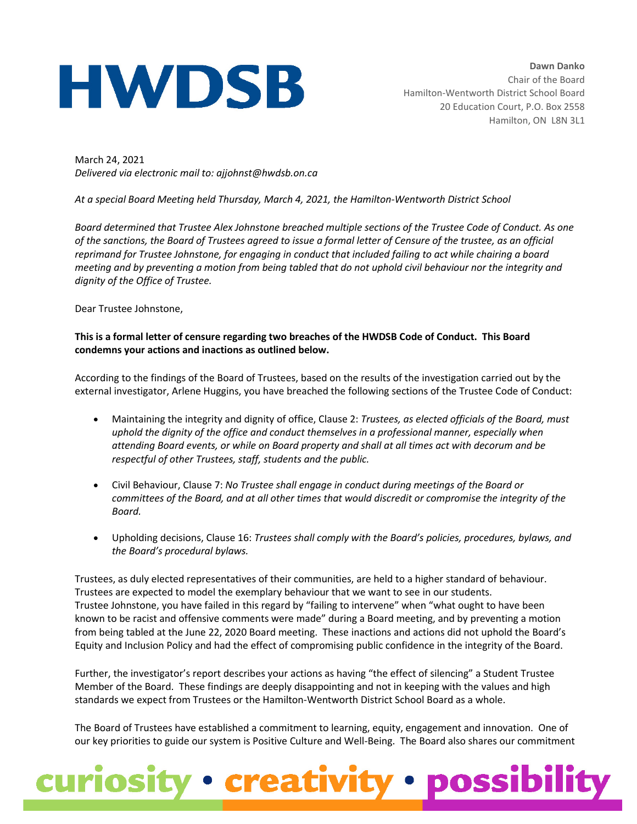## **HWDSB**

March 24, 2021 *Delivered via electronic mail to: ajjohnst@hwdsb.on.ca*

*At a special Board Meeting held Thursday, March 4, 2021, the Hamilton-Wentworth District School*

*Board determined that Trustee Alex Johnstone breached multiple sections of the Trustee Code of Conduct. As one of the sanctions, the Board of Trustees agreed to issue a formal letter of Censure of the trustee, as an official reprimand for Trustee Johnstone, for engaging in conduct that included failing to act while chairing a board meeting and by preventing a motion from being tabled that do not uphold civil behaviour nor the integrity and dignity of the Office of Trustee.* 

Dear Trustee Johnstone,

## **This is a formal letter of censure regarding two breaches of the HWDSB Code of Conduct. This Board condemns your actions and inactions as outlined below.**

According to the findings of the Board of Trustees, based on the results of the investigation carried out by the external investigator, Arlene Huggins, you have breached the following sections of the Trustee Code of Conduct:

- Maintaining the integrity and dignity of office, Clause 2: *Trustees, as elected officials of the Board, must uphold the dignity of the office and conduct themselves in a professional manner, especially when attending Board events, or while on Board property and shall at all times act with decorum and be respectful of other Trustees, staff, students and the public.*
- Civil Behaviour, Clause 7: *No Trustee shall engage in conduct during meetings of the Board or committees of the Board, and at all other times that would discredit or compromise the integrity of the Board.*
- Upholding decisions, Clause 16: *Trustees shall comply with the Board's policies, procedures, bylaws, and the Board's procedural bylaws.*

Trustees, as duly elected representatives of their communities, are held to a higher standard of behaviour. Trustees are expected to model the exemplary behaviour that we want to see in our students. Trustee Johnstone, you have failed in this regard by "failing to intervene" when "what ought to have been known to be racist and offensive comments were made" during a Board meeting, and by preventing a motion from being tabled at the June 22, 2020 Board meeting. These inactions and actions did not uphold the Board's Equity and Inclusion Policy and had the effect of compromising public confidence in the integrity of the Board.

Further, the investigator's report describes your actions as having "the effect of silencing" a Student Trustee Member of the Board. These findings are deeply disappointing and not in keeping with the values and high standards we expect from Trustees or the Hamilton-Wentworth District School Board as a whole.

The Board of Trustees have established a commitment to learning, equity, engagement and innovation. One of our key priorities to guide our system is Positive Culture and Well-Being. The Board also shares our commitment